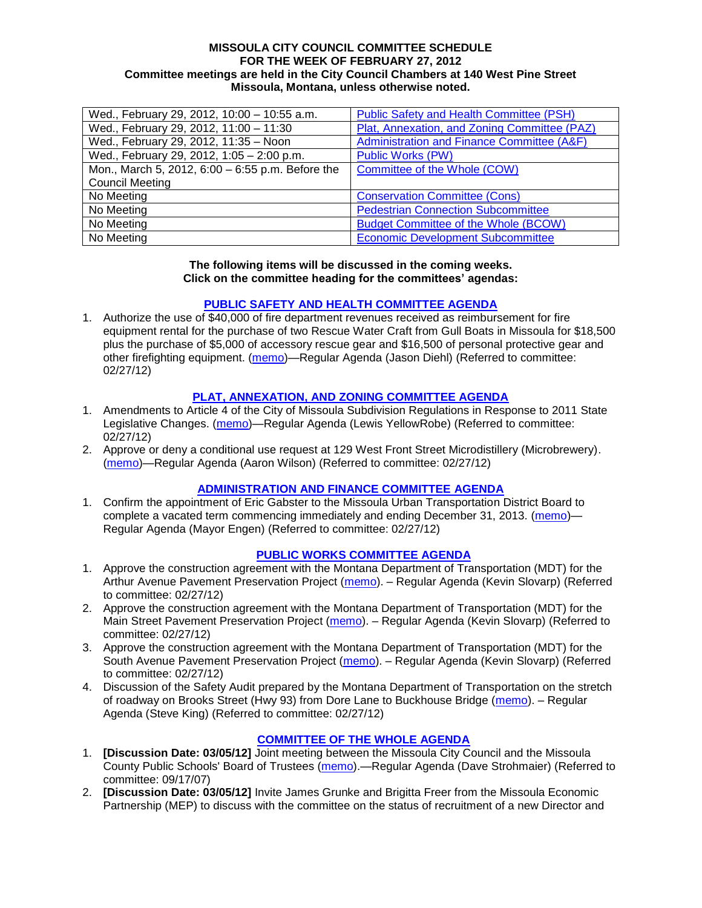#### **MISSOULA CITY COUNCIL COMMITTEE SCHEDULE FOR THE WEEK OF FEBRUARY 27, 2012 Committee meetings are held in the City Council Chambers at 140 West Pine Street Missoula, Montana, unless otherwise noted.**

| Wed., February 29, 2012, 10:00 - 10:55 a.m.      | <b>Public Safety and Health Committee (PSH)</b> |
|--------------------------------------------------|-------------------------------------------------|
| Wed., February 29, 2012, 11:00 - 11:30           | Plat, Annexation, and Zoning Committee (PAZ)    |
| Wed., February 29, 2012, 11:35 - Noon            | Administration and Finance Committee (A&F)      |
| Wed., February 29, 2012, 1:05 - 2:00 p.m.        | <b>Public Works (PW)</b>                        |
| Mon., March 5, 2012, 6:00 - 6:55 p.m. Before the | Committee of the Whole (COW)                    |
| <b>Council Meeting</b>                           |                                                 |
| No Meeting                                       | <b>Conservation Committee (Cons)</b>            |
| No Meeting                                       | <b>Pedestrian Connection Subcommittee</b>       |
| No Meeting                                       | <b>Budget Committee of the Whole (BCOW)</b>     |
| No Meeting                                       | <b>Economic Development Subcommittee</b>        |

#### **The following items will be discussed in the coming weeks. Click on the committee heading for the committees' agendas:**

### **[PUBLIC SAFETY AND HEALTH COMMITTEE AGENDA](http://www.ci.missoula.mt.us/DocumentCenterii.aspx?FID=836)**

1. Authorize the use of \$40,000 of fire department revenues received as reimbursement for fire equipment rental for the purchase of two Rescue Water Craft from Gull Boats in Missoula for \$18,500 plus the purchase of \$5,000 of accessory rescue gear and \$16,500 of personal protective gear and other firefighting equipment. [\(memo\)](http://www.ci.missoula.mt.us/DocumentView.aspx?DID=8348)—Regular Agenda (Jason Diehl) (Referred to committee: 02/27/12)

### **[PLAT, ANNEXATION, AND ZONING COMMITTEE AGENDA](http://www.ci.missoula.mt.us/DocumentCenterii.aspx?FID=831)**

- 1. Amendments to Article 4 of the City of Missoula Subdivision Regulations in Response to 2011 State Legislative Changes. [\(memo\)](http://www.ci.missoula.mt.us/DocumentView.aspx?DID=8342)—Regular Agenda (Lewis YellowRobe) (Referred to committee: 02/27/12)
- 2. Approve or deny a conditional use request at 129 West Front Street Microdistillery (Microbrewery). [\(memo\)](http://www.ci.missoula.mt.us/DocumentView.aspx?DID=8343)—Regular Agenda (Aaron Wilson) (Referred to committee: 02/27/12)

#### **[ADMINISTRATION AND FINANCE COMMITTEE](http://www.ci.missoula.mt.us/DocumentCenterii.aspx?FID=830) AGENDA**

1. Confirm the appointment of Eric Gabster to the Missoula Urban Transportation District Board to complete a vacated term commencing immediately and ending December 31, 2013. [\(memo\)](http://www.ci.missoula.mt.us/DocumentView.aspx?DID=8340)— Regular Agenda (Mayor Engen) (Referred to committee: 02/27/12)

## **[PUBLIC WORKS COMMITTEE](http://www.ci.missoula.mt.us/DocumentCenterii.aspx?FID=833) AGENDA**

- 1. Approve the construction agreement with the Montana Department of Transportation (MDT) for the Arthur Avenue Pavement Preservation Project [\(memo\)](http://www.ci.missoula.mt.us/DocumentView.aspx?DID=8345). – Regular Agenda (Kevin Slovarp) (Referred to committee: 02/27/12)
- 2. Approve the construction agreement with the Montana Department of Transportation (MDT) for the Main Street Pavement Preservation Project [\(memo\)](http://www.ci.missoula.mt.us/DocumentView.aspx?DID=8346). – Regular Agenda (Kevin Slovarp) (Referred to committee: 02/27/12)
- 3. Approve the construction agreement with the Montana Department of Transportation (MDT) for the South Avenue Pavement Preservation Project [\(memo\)](http://www.ci.missoula.mt.us/DocumentView.aspx?DID=8347). - Regular Agenda (Kevin Slovarp) (Referred to committee: 02/27/12)
- 4. Discussion of the Safety Audit prepared by the Montana Department of Transportation on the stretch of roadway on Brooks Street (Hwy 93) from Dore Lane to Buckhouse Bridge [\(memo\)](http://www.ci.missoula.mt.us/DocumentView.aspx?DID=8344). - Regular Agenda (Steve King) (Referred to committee: 02/27/12)

## **[COMMITTEE OF THE WHOLE AGENDA](http://www.ci.missoula.mt.us/DocumentCenterii.aspx?FID=834)**

- 1. **[Discussion Date: 03/05/12]** Joint meeting between the Missoula City Council and the Missoula County Public Schools' Board of Trustees [\(memo\)](ftp://ftp.ci.missoula.mt.us/Packets/Council/2007/2007-09-17/Referrals/Council_School_Board_referral.pdf).—Regular Agenda (Dave Strohmaier) (Referred to committee: 09/17/07)
- 2. **[Discussion Date: 03/05/12]** Invite James Grunke and Brigitta Freer from the Missoula Economic Partnership (MEP) to discuss with the committee on the status of recruitment of a new Director and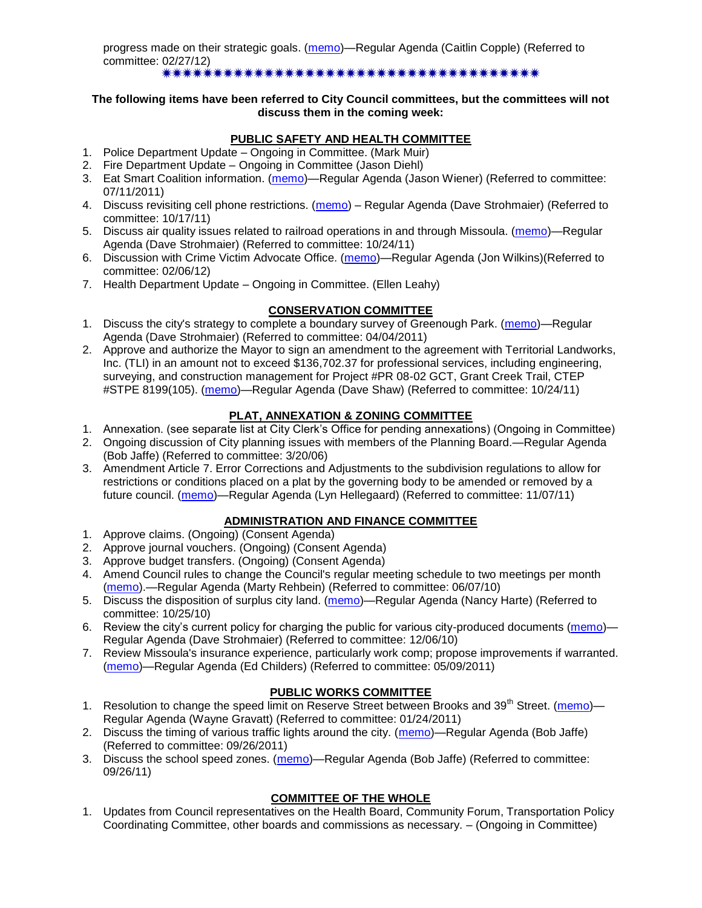progress made on their strategic goals. [\(memo\)](http://www.ci.missoula.mt.us/DocumentView.aspx?DID=8341)—Regular Agenda (Caitlin Copple) (Referred to committee: 02/27/12) \*\*\*\*\*\*\*\*\*\*\*\*\*\*\*\*\*\*\*\*\*\*\*\*\*\*\*\*\*\*\*\*\*\*\*\*\*\*

#### **The following items have been referred to City Council committees, but the committees will not discuss them in the coming week:**

# **PUBLIC SAFETY AND HEALTH COMMITTEE**

- 1. Police Department Update Ongoing in Committee. (Mark Muir)
- 2. Fire Department Update Ongoing in Committee (Jason Diehl)
- 3. Eat Smart Coalition information. [\(memo\)](http://www.ci.missoula.mt.us/DocumentView.aspx?DID=6776)—Regular Agenda (Jason Wiener) (Referred to committee: 07/11/2011)
- 4. Discuss revisiting cell phone restrictions. [\(memo\)](http://www.ci.missoula.mt.us/DocumentView.aspx?DID=7420) Regular Agenda (Dave Strohmaier) (Referred to committee: 10/17/11)
- 5. Discuss air quality issues related to railroad operations in and through Missoula. [\(memo\)](http://www.ci.missoula.mt.us/DocumentView.aspx?DID=7495)—Regular Agenda (Dave Strohmaier) (Referred to committee: 10/24/11)
- 6. Discussion with Crime Victim Advocate Office. [\(memo\)](http://www.ci.missoula.mt.us/DocumentView.aspx?DID=8109)—Regular Agenda (Jon Wilkins)(Referred to committee: 02/06/12)
- 7. Health Department Update Ongoing in Committee. (Ellen Leahy)

# **CONSERVATION COMMITTEE**

- 1. Discuss the city's strategy to complete a boundary survey of Greenough Park. [\(memo\)](http://www.ci.missoula.mt.us/DocumentView.aspx?DID=5875)—Regular Agenda (Dave Strohmaier) (Referred to committee: 04/04/2011)
- 2. Approve and authorize the Mayor to sign an amendment to the agreement with Territorial Landworks, Inc. (TLI) in an amount not to exceed \$136,702.37 for professional services, including engineering, surveying, and construction management for Project #PR 08-02 GCT, Grant Creek Trail, CTEP #STPE 8199(105). [\(memo\)](http://www.ci.missoula.mt.us/DocumentView.aspx?DID=7494)—Regular Agenda (Dave Shaw) (Referred to committee: 10/24/11)

# **PLAT, ANNEXATION & ZONING COMMITTEE**

- 1. Annexation. (see separate list at City Clerk's Office for pending annexations) (Ongoing in Committee)
- 2. Ongoing discussion of City planning issues with members of the Planning Board.—Regular Agenda (Bob Jaffe) (Referred to committee: 3/20/06)
- 3. Amendment Article 7. Error Corrections and Adjustments to the subdivision regulations to allow for restrictions or conditions placed on a plat by the governing body to be amended or removed by a future council. [\(memo\)](http://www.ci.missoula.mt.us/DocumentView.aspx?DID=7568)—Regular Agenda (Lyn Hellegaard) (Referred to committee: 11/07/11)

## **ADMINISTRATION AND FINANCE COMMITTEE**

- 1. Approve claims. (Ongoing) (Consent Agenda)
- 2. Approve journal vouchers. (Ongoing) (Consent Agenda)
- 3. Approve budget transfers. (Ongoing) (Consent Agenda)
- 4. Amend Council rules to change the Council's regular meeting schedule to two meetings per month [\(memo\)](http://www.ci.missoula.mt.us/DocumentView.aspx?DID=4027).—Regular Agenda (Marty Rehbein) (Referred to committee: 06/07/10)
- 5. Discuss the disposition of surplus city land. [\(memo\)](http://www.ci.missoula.mt.us/DocumentView.aspx?DID=4862)—Regular Agenda (Nancy Harte) (Referred to committee: 10/25/10)
- 6. Review the city's current policy for charging the public for various city-produced documents [\(memo\)](http://www.ci.missoula.mt.us/DocumentView.aspx?DID=5143)-Regular Agenda (Dave Strohmaier) (Referred to committee: 12/06/10)
- 7. Review Missoula's insurance experience, particularly work comp; propose improvements if warranted. [\(memo\)](http://www.ci.missoula.mt.us/DocumentView.aspx?DID=6381)—Regular Agenda (Ed Childers) (Referred to committee: 05/09/2011)

## **PUBLIC WORKS COMMITTEE**

- 1. Resolution to change the speed limit on Reserve Street between Brooks and 39<sup>th</sup> Street. [\(memo\)](http://www.ci.missoula.mt.us/DocumentView.aspx?DID=5418)-Regular Agenda (Wayne Gravatt) (Referred to committee: 01/24/2011)
- 2. Discuss the timing of various traffic lights around the city. [\(memo\)](http://www.ci.missoula.mt.us/DocumentView.aspx?DID=7322)—Regular Agenda (Bob Jaffe) (Referred to committee: 09/26/2011)
- 3. Discuss the school speed zones. [\(memo\)](http://www.ci.missoula.mt.us/DocumentView.aspx?DID=7321)—Regular Agenda (Bob Jaffe) (Referred to committee: 09/26/11)

## **COMMITTEE OF THE WHOLE**

1. Updates from Council representatives on the Health Board, Community Forum, Transportation Policy Coordinating Committee, other boards and commissions as necessary. – (Ongoing in Committee)